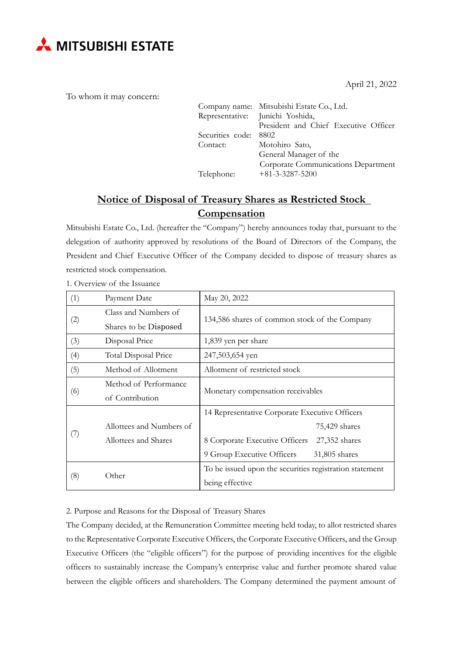

To whom it may concern:

|                       | Company name: Mitsubishi Estate Co., Ltd.<br>Representative: Junichi Yoshida, |  |
|-----------------------|-------------------------------------------------------------------------------|--|
|                       | President and Chief Executive Officer                                         |  |
| Securities code: 8802 |                                                                               |  |
| Contact:              | Motohiro Sato,                                                                |  |
|                       | General Manager of the                                                        |  |
|                       | Corporate Communications Department                                           |  |
| Telephone:            | $+81-3-3287-5200$                                                             |  |

April 21, 2022

# **Notice of Disposal of Treasury Shares as Restricted Stock Compensation**

Mitsubishi Estate Co., Ltd. (hereafter the "Company") hereby announces today that, pursuant to the delegation of authority approved by resolutions of the Board of Directors of the Company, the President and Chief Executive Officer of the Company decided to dispose of treasury shares as restricted stock compensation.

| (1) | Payment Date             | May 20, 2022                                            |  |
|-----|--------------------------|---------------------------------------------------------|--|
| (2) | Class and Numbers of     |                                                         |  |
|     | Shares to be Disposed    | 134,586 shares of common stock of the Company           |  |
| (3) | Disposal Price           | 1,839 yen per share                                     |  |
| (4) | Total Disposal Price     | 247,503,654 yen                                         |  |
| (5) | Method of Allotment      | Allotment of restricted stock                           |  |
| (6) | Method of Performance    | Monetary compensation receivables                       |  |
|     | of Contribution          |                                                         |  |
|     |                          | 14 Representative Corporate Executive Officers          |  |
| (7) | Allottees and Numbers of | 75,429 shares                                           |  |
|     | Allottees and Shares     | 8 Corporate Executive Officers<br>27,352 shares         |  |
|     |                          | 9 Group Executive Officers<br>31,805 shares             |  |
| (8) | Other                    | To be issued upon the securities registration statement |  |
|     |                          | being effective                                         |  |

1. Overview of the Issuance

2. Purpose and Reasons for the Disposal of Treasury Shares

The Company decided, at the Remuneration Committee meeting held today, to allot restricted shares to the Representative Corporate Executive Officers, the Corporate Executive Officers, and the Group Executive Officers (the "eligible officers") for the purpose of providing incentives for the eligible officers to sustainably increase the Company's enterprise value and further promote shared value between the eligible officers and shareholders. The Company determined the payment amount of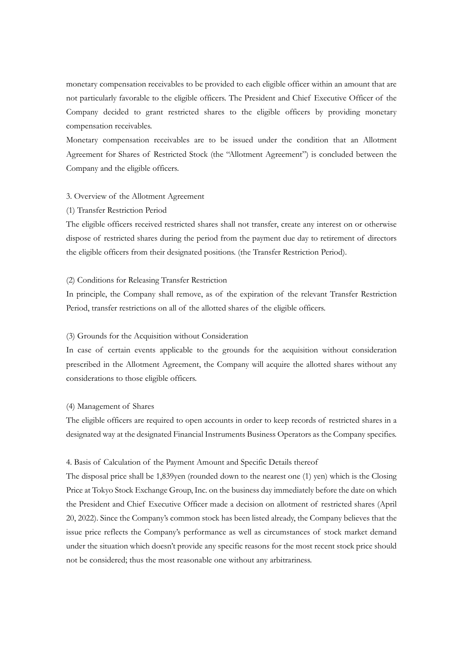monetary compensation receivables to be provided to each eligible officer within an amount that are not particularly favorable to the eligible officers. The President and Chief Executive Officer of the Company decided to grant restricted shares to the eligible officers by providing monetary compensation receivables.

Monetary compensation receivables are to be issued under the condition that an Allotment Agreement for Shares of Restricted Stock (the "Allotment Agreement") is concluded between the Company and the eligible officers.

#### 3. Overview of the Allotment Agreement

## (1) Transfer Restriction Period

The eligible officers received restricted shares shall not transfer, create any interest on or otherwise dispose of restricted shares during the period from the payment due day to retirement of directors the eligible officers from their designated positions. (the Transfer Restriction Period).

## (2) Conditions for Releasing Transfer Restriction

In principle, the Company shall remove, as of the expiration of the relevant Transfer Restriction Period, transfer restrictions on all of the allotted shares of the eligible officers.

## (3) Grounds for the Acquisition without Consideration

In case of certain events applicable to the grounds for the acquisition without consideration prescribed in the Allotment Agreement, the Company will acquire the allotted shares without any considerations to those eligible officers.

#### (4) Management of Shares

The eligible officers are required to open accounts in order to keep records of restricted shares in a designated way at the designated Financial Instruments Business Operators as the Company specifies.

#### 4. Basis of Calculation of the Payment Amount and Specific Details thereof

The disposal price shall be 1,839yen (rounded down to the nearest one (1) yen) which is the Closing Price at Tokyo Stock Exchange Group, Inc. on the business day immediately before the date on which the President and Chief Executive Officer made a decision on allotment of restricted shares (April 20, 2022). Since the Company's common stock has been listed already, the Company believes that the issue price reflects the Company's performance as well as circumstances of stock market demand under the situation which doesn't provide any specific reasons for the most recent stock price should not be considered; thus the most reasonable one without any arbitrariness.